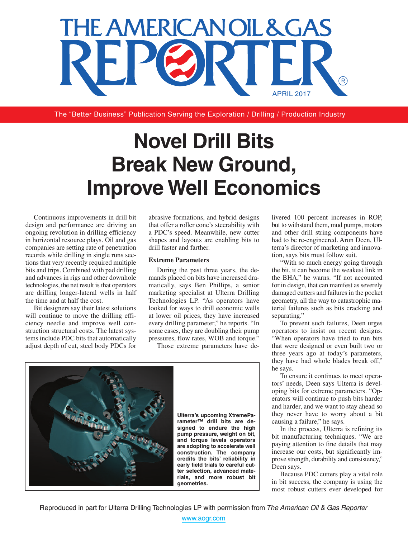

The "Better Business" Publication Serving the Exploration / Drilling / Production Industry

## **Novel Drill Bits Break New Ground, Improve Well Economics**

Continuous improvements in drill bit design and performance are driving an ongoing revolution in drilling efficiency in horizontal resource plays. Oil and gas companies are setting rate of penetration records while drilling in single runs sections that very recently required multiple bits and trips. Combined with pad drilling and advances in rigs and other downhole technologies, the net result is that operators are drilling longer-lateral wells in half the time and at half the cost.

Bit designers say their latest solutions will continue to move the drilling efficiency needle and improve well construction structural costs. The latest systems include PDC bits that automatically adjust depth of cut, steel body PDCs for abrasive formations, and hybrid designs that offer a roller cone's steerability with a PDC's speed. Meanwhile, new cutter shapes and layouts are enabling bits to drill faster and farther.

## **Extreme Parameters**

During the past three years, the demands placed on bits have increased dramatically, says Ben Phillips, a senior marketing specialist at Ulterra Drilling Technologies LP. "As operators have looked for ways to drill economic wells at lower oil prices, they have increased every drilling parameter," he reports. "In some cases, they are doubling their pump pressures, flow rates, WOB and torque."

Those extreme parameters have de-



livered 100 percent increases in ROP, but to withstand them, mud pumps, motors and other drill string components have had to be re-engineered. Aron Deen, Ulterra's director of marketing and innovation, says bits must follow suit.

"With so much energy going through the bit, it can become the weakest link in the BHA," he warns. "If not accounted for in design, that can manifest as severely damaged cutters and failures in the pocket geometry, all the way to catastrophic material failures such as bits cracking and separating."

To prevent such failures, Deen urges operators to insist on recent designs. "When operators have tried to run bits that were designed or even built two or three years ago at today's parameters, they have had whole blades break off," he says.

To ensure it continues to meet operators' needs, Deen says Ulterra is developing bits for extreme parameters. "Operators will continue to push bits harder and harder, and we want to stay ahead so they never have to worry about a bit causing a failure," he says.

In the process, Ulterra is refining its bit manufacturing techniques. "We are paying attention to fine details that may increase our costs, but significantly improve strength, durability and consistency," Deen says.

Because PDC cutters play a vital role in bit success, the company is using the most robust cutters ever developed for

<www.aogr.com>